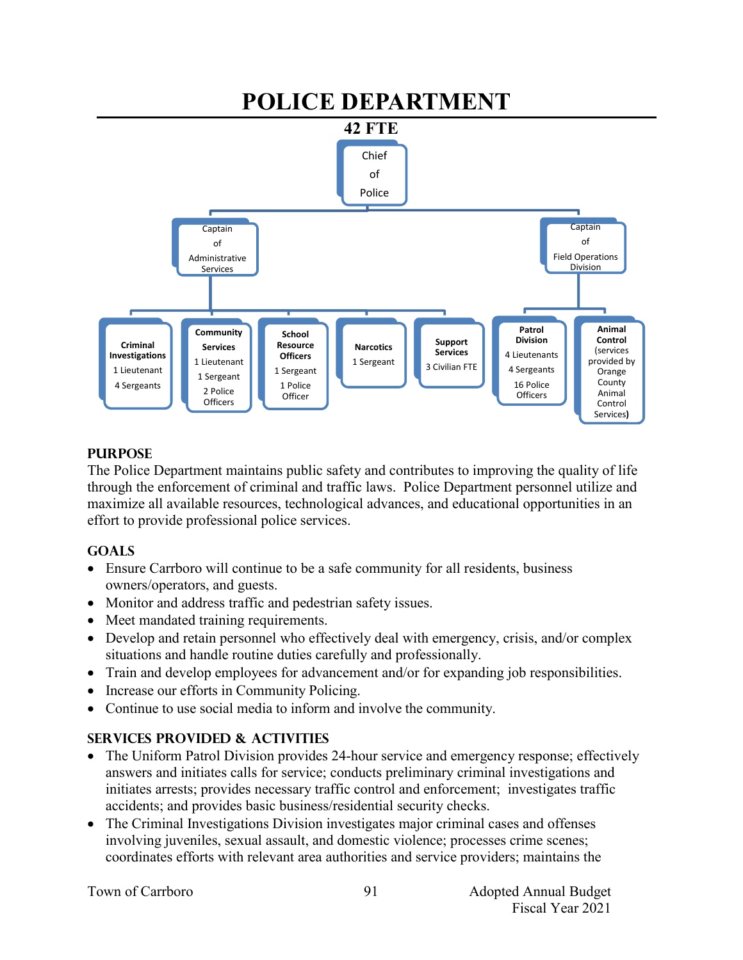

## **PURPOSE**

The Police Department maintains public safety and contributes to improving the quality of life through the enforcement of criminal and traffic laws. Police Department personnel utilize and maximize all available resources, technological advances, and educational opportunities in an effort to provide professional police services.

### **GOALS**

- Ensure Carrboro will continue to be a safe community for all residents, business owners/operators, and guests.
- Monitor and address traffic and pedestrian safety issues.
- Meet mandated training requirements.
- Develop and retain personnel who effectively deal with emergency, crisis, and/or complex situations and handle routine duties carefully and professionally.
- Train and develop employees for advancement and/or for expanding job responsibilities.
- Increase our efforts in Community Policing.
- Continue to use social media to inform and involve the community.

# **SERVICES PROVIDED & ACTIVITIES**

- The Uniform Patrol Division provides 24-hour service and emergency response; effectively answers and initiates calls for service; conducts preliminary criminal investigations and initiates arrests; provides necessary traffic control and enforcement; investigates traffic accidents; and provides basic business/residential security checks.
- The Criminal Investigations Division investigates major criminal cases and offenses involving juveniles, sexual assault, and domestic violence; processes crime scenes; coordinates efforts with relevant area authorities and service providers; maintains the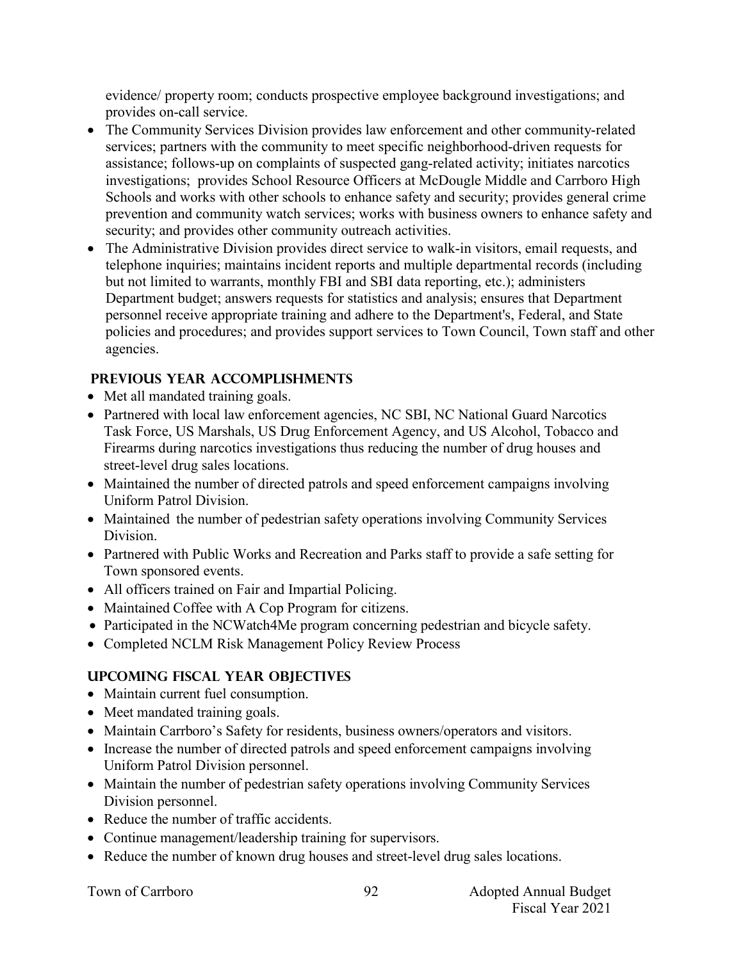evidence/ property room; conducts prospective employee background investigations; and provides on-call service.

- The Community Services Division provides law enforcement and other community-related services; partners with the community to meet specific neighborhood-driven requests for assistance; follows-up on complaints of suspected gang-related activity; initiates narcotics investigations; provides School Resource Officers at McDougle Middle and Carrboro High Schools and works with other schools to enhance safety and security; provides general crime prevention and community watch services; works with business owners to enhance safety and security; and provides other community outreach activities.
- The Administrative Division provides direct service to walk-in visitors, email requests, and telephone inquiries; maintains incident reports and multiple departmental records (including but not limited to warrants, monthly FBI and SBI data reporting, etc.); administers Department budget; answers requests for statistics and analysis; ensures that Department personnel receive appropriate training and adhere to the Department's, Federal, and State policies and procedures; and provides support services to Town Council, Town staff and other agencies.

# **PREVIOUS YEAR ACCOMPLISHMENTS**

- Met all mandated training goals.
- Partnered with local law enforcement agencies, NC SBI, NC National Guard Narcotics Task Force, US Marshals, US Drug Enforcement Agency, and US Alcohol, Tobacco and Firearms during narcotics investigations thus reducing the number of drug houses and street-level drug sales locations.
- Maintained the number of directed patrols and speed enforcement campaigns involving Uniform Patrol Division.
- Maintained the number of pedestrian safety operations involving Community Services Division.
- Partnered with Public Works and Recreation and Parks staff to provide a safe setting for Town sponsored events.
- All officers trained on Fair and Impartial Policing.
- Maintained Coffee with A Cop Program for citizens.
- Participated in the NCWatch4Me program concerning pedestrian and bicycle safety.
- Completed NCLM Risk Management Policy Review Process

# **UPCOMING FISCAL YEAR OBJECTIVES**

- Maintain current fuel consumption.
- Meet mandated training goals.
- Maintain Carrboro's Safety for residents, business owners/operators and visitors.
- Increase the number of directed patrols and speed enforcement campaigns involving Uniform Patrol Division personnel.
- Maintain the number of pedestrian safety operations involving Community Services Division personnel.
- Reduce the number of traffic accidents.
- Continue management/leadership training for supervisors.
- Reduce the number of known drug houses and street-level drug sales locations.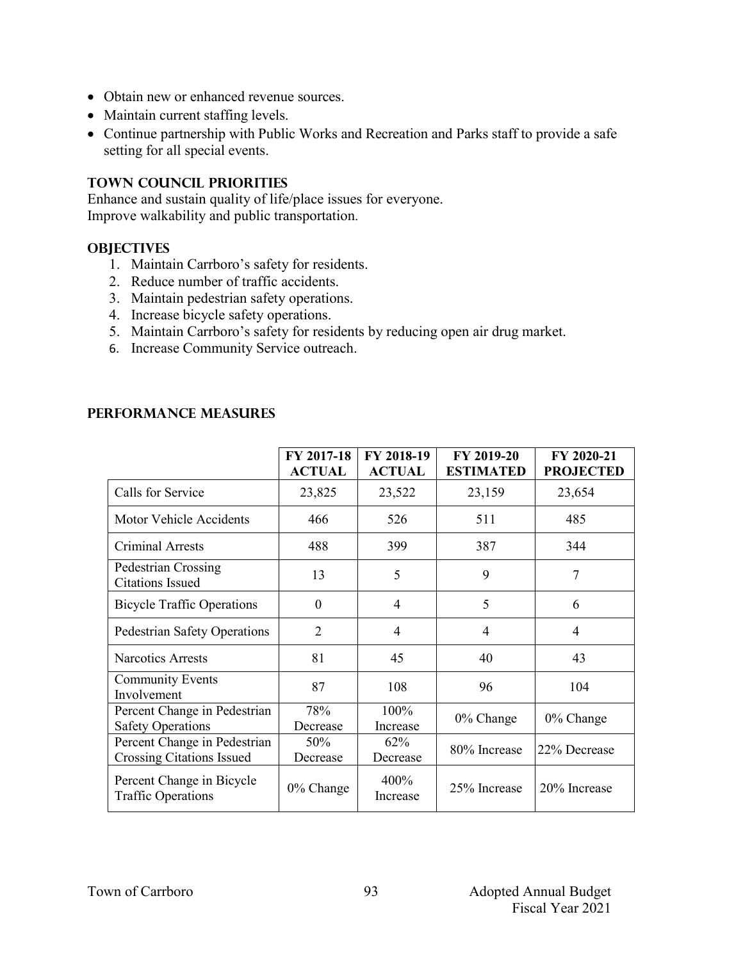- Obtain new or enhanced revenue sources.
- Maintain current staffing levels.
- Continue partnership with Public Works and Recreation and Parks staff to provide a safe setting for all special events.

### **TOWN COUNCIL PRIORITIES**

Enhance and sustain quality of life/place issues for everyone. Improve walkability and public transportation.

#### **OBJECTIVES**

- 1. Maintain Carrboro's safety for residents.
- 2. Reduce number of traffic accidents.
- 3. Maintain pedestrian safety operations.
- 4. Increase bicycle safety operations.
- 5. Maintain Carrboro's safety for residents by reducing open air drug market.
- 6. Increase Community Service outreach.

## **Performance Measures**

|                                                                  | FY 2017-18<br><b>ACTUAL</b> | FY 2018-19<br><b>ACTUAL</b> | FY 2019-20<br><b>ESTIMATED</b> | FY 2020-21<br><b>PROJECTED</b> |
|------------------------------------------------------------------|-----------------------------|-----------------------------|--------------------------------|--------------------------------|
| Calls for Service                                                | 23,825                      | 23,522                      | 23,159                         | 23,654                         |
| Motor Vehicle Accidents                                          | 466                         | 526                         | 511                            | 485                            |
| <b>Criminal Arrests</b>                                          | 488                         | 399                         | 387                            | 344                            |
| Pedestrian Crossing<br><b>Citations Issued</b>                   | 13                          | 5                           | 9                              | 7                              |
| <b>Bicycle Traffic Operations</b>                                | $\theta$                    | 4                           | 5                              | 6                              |
| Pedestrian Safety Operations                                     | $\overline{2}$              | 4                           | 4                              | 4                              |
| <b>Narcotics Arrests</b>                                         | 81                          | 45                          | 40                             | 43                             |
| <b>Community Events</b><br>Involvement                           | 87                          | 108                         | 96                             | 104                            |
| Percent Change in Pedestrian<br><b>Safety Operations</b>         | 78%<br>Decrease             | 100%<br>Increase            | 0% Change                      | 0% Change                      |
| Percent Change in Pedestrian<br><b>Crossing Citations Issued</b> | 50%<br>Decrease             | 62%<br>Decrease             | 80% Increase                   | 22% Decrease                   |
| Percent Change in Bicycle<br><b>Traffic Operations</b>           | $0\%$ Change                | 400%<br>Increase            | 25% Increase                   | 20% Increase                   |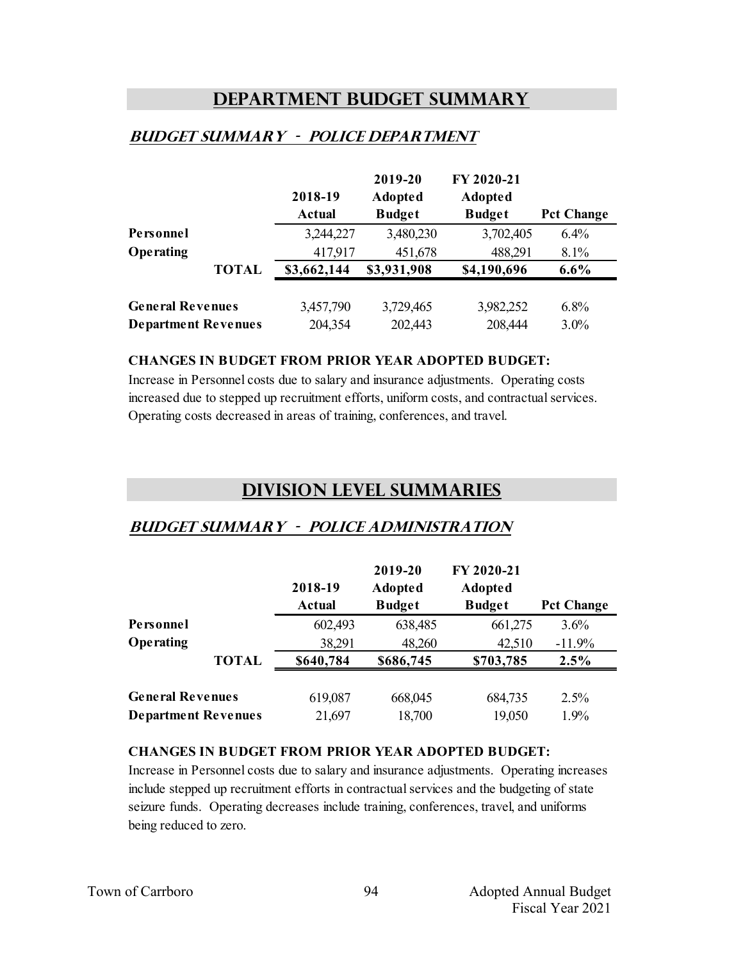# **Department Budget Summary**

## **Budget summary - police department**

|                            |              | 2018-19<br><b>Actual</b> | 2019-20<br><b>Adopted</b><br><b>Budget</b> | FY 2020-21<br><b>Adopted</b><br><b>Budget</b> | <b>Pct Change</b> |
|----------------------------|--------------|--------------------------|--------------------------------------------|-----------------------------------------------|-------------------|
| Personnel                  |              | 3,244,227                | 3,480,230                                  | 3,702,405                                     | $6.4\%$           |
| Operating                  |              | 417,917                  | 451,678                                    | 488,291                                       | 8.1%              |
|                            | <b>TOTAL</b> | \$3,662,144              | \$3,931,908                                | \$4,190,696                                   | $6.6\%$           |
| <b>General Revenues</b>    |              | 3,457,790                | 3,729,465                                  | 3,982,252                                     | $6.8\%$           |
| <b>Department Revenues</b> |              | 204,354                  | 202,443                                    | 208,444                                       | 3.0%              |

#### **CHANGES IN BUDGET FROM PRIOR YEAR ADOPTED BUDGET:**

Increase in Personnel costs due to salary and insurance adjustments. Operating costs increased due to stepped up recruitment efforts, uniform costs, and contractual services. Operating costs decreased in areas of training, conferences, and travel.

# **Division Level Summaries**

### **Budget summary - police administration**

|                            |              | 2018-19<br><b>Actual</b> | 2019-20<br><b>Adopted</b><br><b>Budget</b> | FY 2020-21<br><b>Adopted</b><br><b>Budget</b> | <b>Pct Change</b> |
|----------------------------|--------------|--------------------------|--------------------------------------------|-----------------------------------------------|-------------------|
| Personnel                  |              | 602,493                  | 638,485                                    | 661,275                                       | 3.6%              |
| Operating                  |              | 38,291                   | 48,260                                     | 42,510                                        | $-11.9%$          |
|                            | <b>TOTAL</b> | \$640,784                | \$686,745                                  | \$703,785                                     | 2.5%              |
| <b>General Revenues</b>    |              | 619,087                  | 668,045                                    | 684,735                                       | 2.5%              |
| <b>Department Revenues</b> |              | 21,697                   | 18,700                                     | 19,050                                        | 1.9%              |

#### **CHANGES IN BUDGET FROM PRIOR YEAR ADOPTED BUDGET:**

Increase in Personnel costs due to salary and insurance adjustments. Operating increases include stepped up recruitment efforts in contractual services and the budgeting of state seizure funds. Operating decreases include training, conferences, travel, and uniforms being reduced to zero.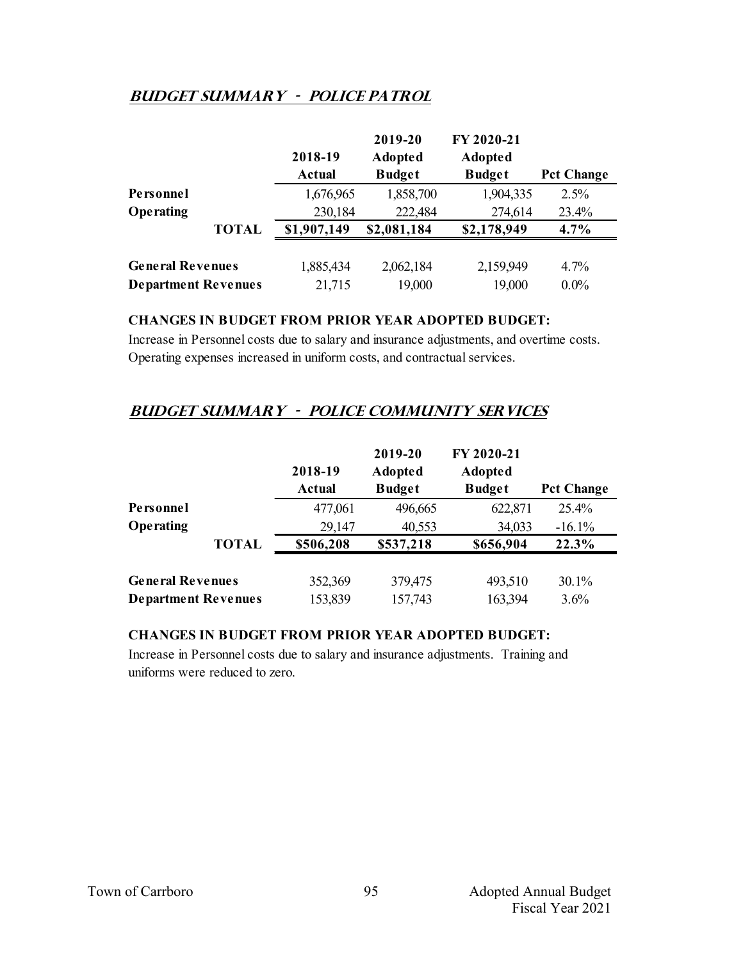# **Budget summary - police Patrol**

|                            |              | 2018-19       | 2019-20<br><b>Adopted</b> | FY 2020-21<br><b>Adopted</b> |                   |
|----------------------------|--------------|---------------|---------------------------|------------------------------|-------------------|
|                            |              | <b>Actual</b> | <b>Budget</b>             | <b>Budget</b>                | <b>Pct Change</b> |
| Personnel                  |              | 1,676,965     | 1,858,700                 | 1,904,335                    | 2.5%              |
| Operating                  |              | 230,184       | 222,484                   | 274,614                      | 23.4%             |
|                            | <b>TOTAL</b> | \$1,907,149   | \$2,081,184               | \$2,178,949                  | 4.7%              |
| <b>General Revenues</b>    |              | 1,885,434     | 2,062,184                 | 2,159,949                    | $4.7\%$           |
| <b>Department Revenues</b> |              | 21,715        | 19,000                    | 19,000                       | $0.0\%$           |

#### **CHANGES IN BUDGET FROM PRIOR YEAR ADOPTED BUDGET:**

Increase in Personnel costs due to salary and insurance adjustments, and overtime costs. Operating expenses increased in uniform costs, and contractual services.

# **Budget summary - police community services**

|                            |              | 2018-19<br><b>Actual</b> | 2019-20<br><b>Adopted</b><br><b>Budget</b> | FY 2020-21<br><b>Adopted</b><br><b>Budget</b> | <b>Pct Change</b> |
|----------------------------|--------------|--------------------------|--------------------------------------------|-----------------------------------------------|-------------------|
| Personnel                  |              | 477,061                  | 496,665                                    | 622,871                                       | 25.4%             |
| Operating                  |              | 29,147                   | 40,553                                     | 34,033                                        | $-16.1%$          |
|                            | <b>TOTAL</b> | \$506,208                | \$537,218                                  | \$656,904                                     | 22.3%             |
| <b>General Revenues</b>    |              | 352,369                  | 379,475                                    | 493,510                                       | $30.1\%$          |
| <b>Department Revenues</b> |              | 153,839                  | 157,743                                    | 163,394                                       | 3.6%              |

#### **CHANGES IN BUDGET FROM PRIOR YEAR ADOPTED BUDGET:**

Increase in Personnel costs due to salary and insurance adjustments. Training and uniforms were reduced to zero.